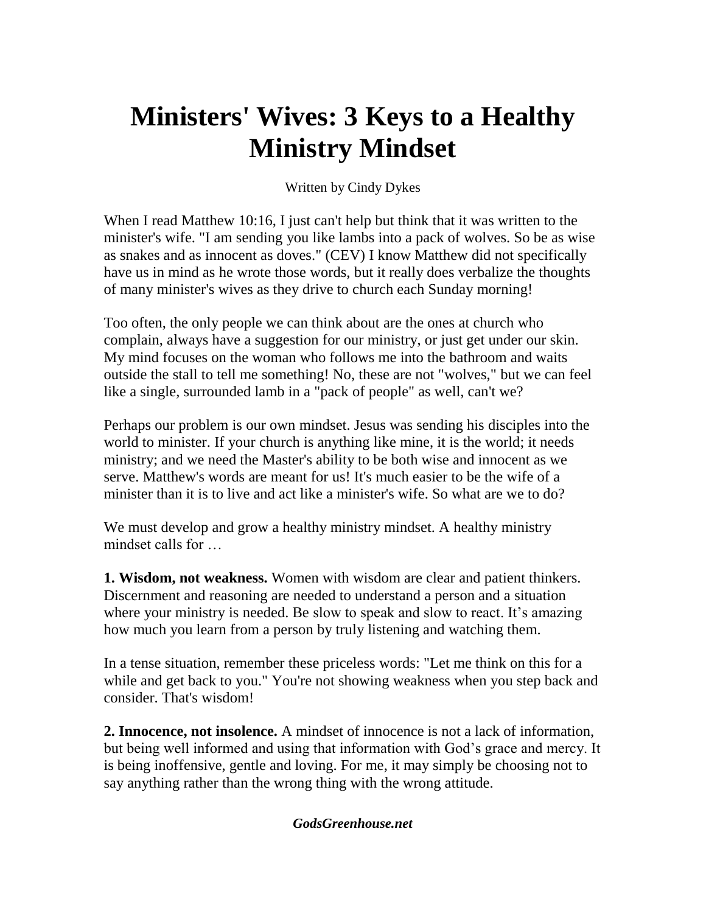## **Ministers' Wives: 3 Keys to a Healthy Ministry Mindset**

Written by Cindy Dykes

When I read Matthew 10:16, I just can't help but think that it was written to the minister's wife. "I am sending you like lambs into a pack of wolves. So be as wise as snakes and as innocent as doves." (CEV) I know Matthew did not specifically have us in mind as he wrote those words, but it really does verbalize the thoughts of many minister's wives as they drive to church each Sunday morning!

Too often, the only people we can think about are the ones at church who complain, always have a suggestion for our ministry, or just get under our skin. My mind focuses on the woman who follows me into the bathroom and waits outside the stall to tell me something! No, these are not "wolves," but we can feel like a single, surrounded lamb in a "pack of people" as well, can't we?

Perhaps our problem is our own mindset. Jesus was sending his disciples into the world to minister. If your church is anything like mine, it is the world; it needs ministry; and we need the Master's ability to be both wise and innocent as we serve. Matthew's words are meant for us! It's much easier to be the wife of a minister than it is to live and act like a minister's wife. So what are we to do?

We must develop and grow a healthy ministry mindset. A healthy ministry mindset calls for …

**1. Wisdom, not weakness.** Women with wisdom are clear and patient thinkers. Discernment and reasoning are needed to understand a person and a situation where your ministry is needed. Be slow to speak and slow to react. It's amazing how much you learn from a person by truly listening and watching them.

In a tense situation, remember these priceless words: "Let me think on this for a while and get back to you." You're not showing weakness when you step back and consider. That's wisdom!

**2. Innocence, not insolence.** A mindset of innocence is not a lack of information, but being well informed and using that information with God's grace and mercy. It is being inoffensive, gentle and loving. For me, it may simply be choosing not to say anything rather than the wrong thing with the wrong attitude.

## *GodsGreenhouse.net*